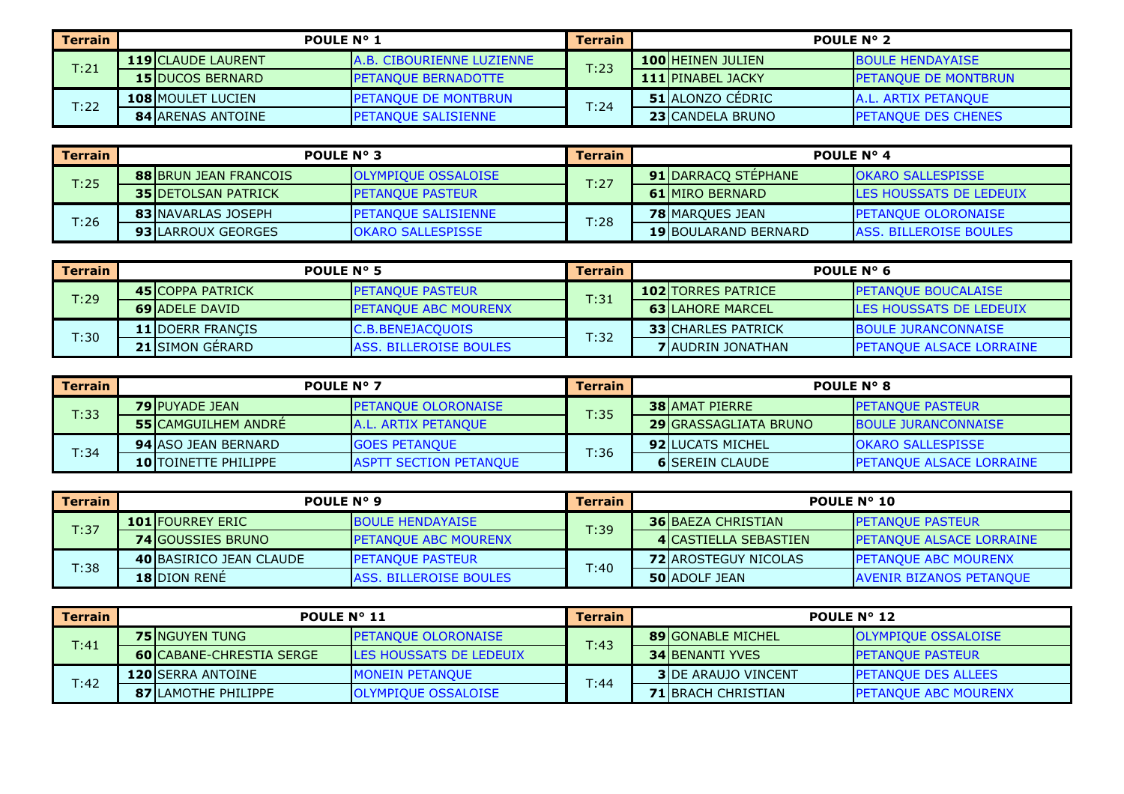| Terrain | <b>POULE N° 1</b>         |                                  | Terrain | POULE $N^{\circ}$ 2       |                             |
|---------|---------------------------|----------------------------------|---------|---------------------------|-----------------------------|
| T:21    | <b>119 CLAUDE LAURENT</b> | <b>A.B. CIBOURIENNE LUZIENNE</b> | T:23    | <b>100 HEINEN JULIEN</b>  | <b>IBOULE HENDAYAISE</b>    |
|         | <b>15 IDUCOS BERNARD</b>  | <b>IPETANOUE BERNADOTTE</b>      |         | <b>111 IPINABEL JACKY</b> | <b>PETANQUE DE MONTBRUN</b> |
|         | <b>108 MOULET LUCIEN</b>  | <b>IPETANOUE DE MONTBRUN</b>     | T:24    | <b>51 ALONZO CEDRIC</b>   | IA.L. ARTIX PETANOUE        |
| T:22    | <b>84 JARENAS ANTOINE</b> | <b>IPETANOUE SALISIENNE</b>      |         | <b>23 CANDELA BRUNO</b>   | <b>PETANQUE DES CHENES</b>  |

| Terrain | <b>POULE N° 3</b>            |                             | Terrain | <b>POULE N° 4</b>            |                                 |  |
|---------|------------------------------|-----------------------------|---------|------------------------------|---------------------------------|--|
| T:25    | <b>88 BRUN JEAN FRANCOIS</b> | <b>OLYMPIQUE OSSALOISE</b>  | T:27    | <b>91   DARRACO STEPHANE</b> | <b>IOKARO SALLESPISSE</b>       |  |
|         | <b>35 IDETOLSAN PATRICK</b>  | <b>IPETANOUE PASTEUR</b>    |         | <b>61 MIRO BERNARD</b>       | <b>ILES HOUSSATS DE LEDEUIX</b> |  |
|         | <b>83INAVARLAS JOSEPH</b>    | <b>IPETANOUE SALISIENNE</b> | T:28    | <b>78 MARQUES JEAN</b>       | <b>PETANQUE OLORONAISE</b>      |  |
| T:26    | <b>93 ILARROUX GEORGES</b>   | <b>OKARO SALLESPISSE</b>    |         | <b>19 BOULARAND BERNARD</b>  | <b>ASS. BILLEROISE BOULES</b>   |  |

| Terrain | POULE $N^{\circ}$ 5      |                             | Terrain | POULE $N^{\circ}$ 6 |                           |                                  |
|---------|--------------------------|-----------------------------|---------|---------------------|---------------------------|----------------------------------|
| T:29    | <b>45 COPPA PATRICK</b>  | <b>IPETANOUE PASTEUR</b>    | T:31    |                     | <b>102ITORRES PATRICE</b> | <b>IPETANOUE BOUCALAISE</b>      |
|         | <b>69 ADELE DAVID</b>    | <b>PETANQUE ABC MOURENX</b> |         |                     | <b>63ILAHORE MARCEL</b>   | <b>ILES HOUSSATS DE LEDEUIX</b>  |
|         | <b>11 IDOERR FRANCIS</b> | IC.B.BENEJACOUOIS           | T:32    |                     | <b>33 CHARLES PATRICK</b> | <b>BOULE JURANCONNAISE</b>       |
| T:30    | <b>21 ISIMON GERARD</b>  | ASS. BILLEROISE BOULES      |         |                     | <b>7 IAUDRIN JONATHAN</b> | <b>IPETANOUE ALSACE LORRAINE</b> |

| Terrain | <b>POULE N° 7</b>           |                               | <b>Terrain</b> | <b>POULE N° 8</b>            |                                 |  |
|---------|-----------------------------|-------------------------------|----------------|------------------------------|---------------------------------|--|
| T:33    | <b>79 PUYADE JEAN</b>       | <b>IPETANOUE OLORONAISE</b>   | T:35           | <b>38 AMAT PIERRE</b>        | <b>IPETANOUE PASTEUR</b>        |  |
|         | <b>55 CAMGUILHEM ANDRE</b>  | A.L. ARTIX PETANOUE           |                | <b>29 GRASSAGLIATA BRUNO</b> | <b>BOULE JURANCONNAISE</b>      |  |
| T:34    | <b>94 ASO JEAN BERNARD</b>  | <b>IGOES PETANOUE</b>         | T:36           | <b>92ILUCATS MICHEL</b>      | <b>OKARO SALLESPISSE</b>        |  |
|         | <b>10 TOINETTE PHILIPPE</b> | <b>ASPTT SECTION PETANQUE</b> |                | <b>6</b> SEREIN CLAUDE       | <b>PETANQUE ALSACE LORRAINE</b> |  |

| Terrain | POULE $N^{\circ}$ 9            |                             | <b>Terrain</b> | <b>POULE N° 10</b>            |                                 |  |
|---------|--------------------------------|-----------------------------|----------------|-------------------------------|---------------------------------|--|
| T:37    | <b>101 IFOURREY ERIC</b>       | <b>BOULE HENDAYAISE</b>     | T:39           | <b>36 BAEZA CHRISTIAN</b>     | <b>PETANQUE PASTEUR</b>         |  |
|         | <b>74 GOUSSIES BRUNO</b>       | <b>PETANQUE ABC MOURENX</b> |                | <b>4 ICASTIELLA SEBASTIEN</b> | <b>PETANQUE ALSACE LORRAINE</b> |  |
|         | <b>40 BASIRICO JEAN CLAUDE</b> | <b>PETANQUE PASTEUR</b>     | T:40           | <b>72 IAROSTEGUY NICOLAS</b>  | <b>PETANQUE ABC MOURENX</b>     |  |
| T:38    | <b>18 DION RENE</b>            | ASS. BILLEROISE BOULES      |                | <b>50 ADOLF JEAN</b>          | <b>AVENIR BIZANOS PETANOUE</b>  |  |

| Terrain | POULE N° 11                      |                                 | Terrain | <b>POULE N° 12</b>         |                              |  |
|---------|----------------------------------|---------------------------------|---------|----------------------------|------------------------------|--|
| T:41    | <b>75INGUYEN TUNG</b>            | <b>IPETANOUE OLORONAISE</b>     | T:43    | <b>89 IGONABLE MICHEL</b>  | <b>OLYMPIQUE OSSALOISE</b>   |  |
|         | <b>60</b> ICABANE-CHRESTIA SERGE | <b>ILES HOUSSATS DE LEDEUIX</b> |         | <b>34 BENANTI YVES</b>     | <b>IPETANOUE PASTEUR</b>     |  |
| T:42    | <b>120ISERRA ANTOINE</b>         | <b>IMONEIN PETANOUE</b>         | T:44    | <b>3IDE ARAUJO VINCENT</b> | <b>PETANQUE DES ALLEES</b>   |  |
|         | <b>87 ILAMOTHE PHILIPPE</b>      | <b>OLYMPIOUE OSSALOISE</b>      |         | <b>71 IBRACH CHRISTIAN</b> | <b>IPETANOUE ABC MOURENX</b> |  |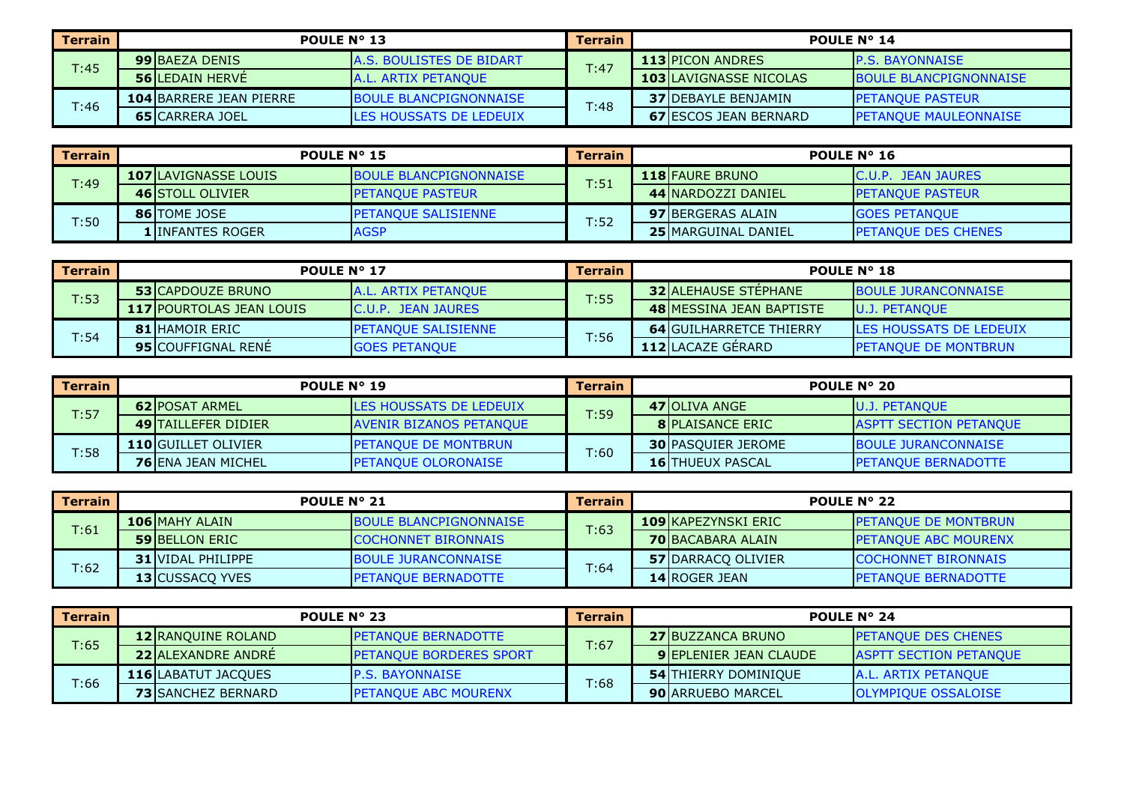| l Terrain | POULE $N^{\circ}$ 13           |                                 | <b>Terrain</b> | POULE $N^{\circ}$ 14           |                                |  |
|-----------|--------------------------------|---------------------------------|----------------|--------------------------------|--------------------------------|--|
| T:45      | <b>99 BAEZA DENIS</b>          | <b>A.S. BOULISTES DE BIDART</b> | T:47           | <b>113 PICON ANDRES</b>        | <b>P.S. BAYONNAISE</b>         |  |
|           | <b>56 LEDAIN HERVE</b>         | <b>A.L. ARTIX PETANOUE</b>      |                | <b>103 ILAVIGNASSE NICOLAS</b> | <b>IBOULE BLANCPIGNONNAISE</b> |  |
|           | <b>104 BARRERE JEAN PIERRE</b> | <b>BOULE BLANCPIGNONNAISE</b>   | T:48           | <b>37 IDEBAYLE BENJAMIN</b>    | <b>PETANOUE PASTEUR</b>        |  |
| T:46      | <b>65 CARRERA JOEL</b>         | <b>ILES HOUSSATS DE LEDEUIX</b> |                | <b>67 IESCOS JEAN BERNARD</b>  | <b>PETANQUE MAULEONNAISE</b>   |  |

| Terrain | POULE $N^{\circ}$ 15        |                                | Terrain | POULE $N^{\circ}$ 16       |                            |  |
|---------|-----------------------------|--------------------------------|---------|----------------------------|----------------------------|--|
| T:49    | <b>107 LAVIGNASSE LOUIS</b> | <b>IBOULE BLANCPIGNONNAISE</b> | T:51    | <b>118 FAURE BRUNO</b>     | IC.U.P. JEAN JAURES        |  |
|         | <b>46 STOLL OLIVIER</b>     | <b>IPETANOUE PASTEUR</b>       |         | 44 NARDOZZI DANIEL         | <b>PETANOUE PASTEUR</b>    |  |
| T:50    | <b>86ITOME JOSE</b>         | <b>IPETANOUE SALISIENNE</b>    |         | <b>97IBERGERAS ALAIN</b>   | <b>IGOES PETANOUE</b>      |  |
|         | <b>1 IINFANTES ROGER</b>    | <b>AGSP</b>                    | T:52    | <b>25 MARGUINAL DANIEL</b> | <b>PETANQUE DES CHENES</b> |  |

| Terrain | POULE N° 17                     |                             | <b>Terrain</b> | <b>POULE N° 18</b>               |                                 |  |
|---------|---------------------------------|-----------------------------|----------------|----------------------------------|---------------------------------|--|
| T:53    | <b>53 CAPDOUZE BRUNO</b>        | IA.L. ARTIX PETANOUE        | T:55           | <b>32 ALEHAUSE STEPHANE</b>      | <b>IBOULE JURANCONNAISE</b>     |  |
|         | <b>117 POURTOLAS JEAN LOUIS</b> | <b>C.U.P. JEAN JAURES</b>   |                | <b>48 IMESSINA JEAN BAPTISTE</b> | <b>U.J. PETANOUE</b>            |  |
|         | <b>81 HAMOIR ERIC</b>           | <b>IPETANOUE SALISIENNE</b> |                | <b>64 GUILHARRETCE THIERRY</b>   | <b>ILES HOUSSATS DE LEDEUIX</b> |  |
| T:54    | <b>95 COUFFIGNAL RENE</b>       | <b>GOES PETANQUE</b>        | T:56           | <b>112 LACAZE GERARD</b>         | <b>PETANQUE DE MONTBRUN</b>     |  |

| Terrain | POULE N° 19                 |                                 | <b>Terrain</b> | <b>POULE N° 20</b>         |                               |  |
|---------|-----------------------------|---------------------------------|----------------|----------------------------|-------------------------------|--|
| T:57    | <b>62 POSAT ARMEL</b>       | <b>ILES HOUSSATS DE LEDEUIX</b> | T:59           | 47 OLIVA ANGE              | <b>JU.J. PETANOUE</b>         |  |
|         | <b>49 TAILLEFER DIDIER</b>  | AVENIR BIZANOS PETANQUE         |                | <b>8 PLAISANCE ERIC</b>    | <b>ASPTT SECTION PETANQUE</b> |  |
|         | <b>110</b> IGUILLET OLIVIER | <b>IPETANOUE DE MONTBRUN</b>    | T:60           | <b>30 IPASOUIER JEROME</b> | <b>BOULE JURANCONNAISE</b>    |  |
| T:58    | <b>76 ENA JEAN MICHEL</b>   | <b>IPETANOUE OLORONAISE</b>     |                | <b>16 THUEUX PASCAL</b>    | <b>PETANQUE BERNADOTTE</b>    |  |

| Terrain | <b>POULE N° 21</b>        |                                | Terrain | <b>POULE N° 22</b> |                            |                             |
|---------|---------------------------|--------------------------------|---------|--------------------|----------------------------|-----------------------------|
| T:61    | <b>106 MAHY ALAIN</b>     | <b>IBOULE BLANCPIGNONNAISE</b> | T:63    |                    | <b>109 KAPEZYNSKI ERIC</b> | <b>PETANQUE DE MONTBRUN</b> |
|         | <b>59 BELLON ERIC</b>     | <b>ICOCHONNET BIRONNAIS</b>    |         |                    | <b>70 BACABARA ALAIN</b>   | <b>PETANQUE ABC MOURENX</b> |
|         | <b>31 IVIDAL PHILIPPE</b> | <b>BOULE JURANCONNAISE</b>     | T:64    |                    | <b>57 DARRACO OLIVIER</b>  | <b>COCHONNET BIRONNAIS</b>  |
| T:62    | <b>13 CUSSACO YVES</b>    | <b>IPETANOUE BERNADOTTE</b>    |         |                    | <b>14 ROGER JEAN</b>       | <b>PETANQUE BERNADOTTE</b>  |

| Terrain | <b>POULE N° 23</b>         |                                | Terrain | POULE $N^{\circ}$ 24          |                               |  |
|---------|----------------------------|--------------------------------|---------|-------------------------------|-------------------------------|--|
| T:65    | <b>12 RANOUINE ROLAND</b>  | <b>IPETANOUE BERNADOTTE</b>    | T:67    | <b>27 BUZZANCA BRUNO</b>      | <b>PETANQUE DES CHENES</b>    |  |
|         | <b>22 ALEXANDRE ANDRE</b>  | <b>PETANQUE BORDERES SPORT</b> |         | <b>9IEPLENIER JEAN CLAUDE</b> | <b>ASPTT SECTION PETANQUE</b> |  |
| T:66    | <b>116 LABATUT JACOUES</b> | <b>IP.S. BAYONNAISE</b>        | T:68    | <b>54 THIERRY DOMINIQUE</b>   | <b>A.L. ARTIX PETANQUE</b>    |  |
|         | <b>73 ISANCHEZ BERNARD</b> | <b>IPETANOUE ABC MOURENX</b>   |         | <b>90 JARRUEBO MARCEL</b>     | <b>OLYMPIOUE OSSALOISE</b>    |  |